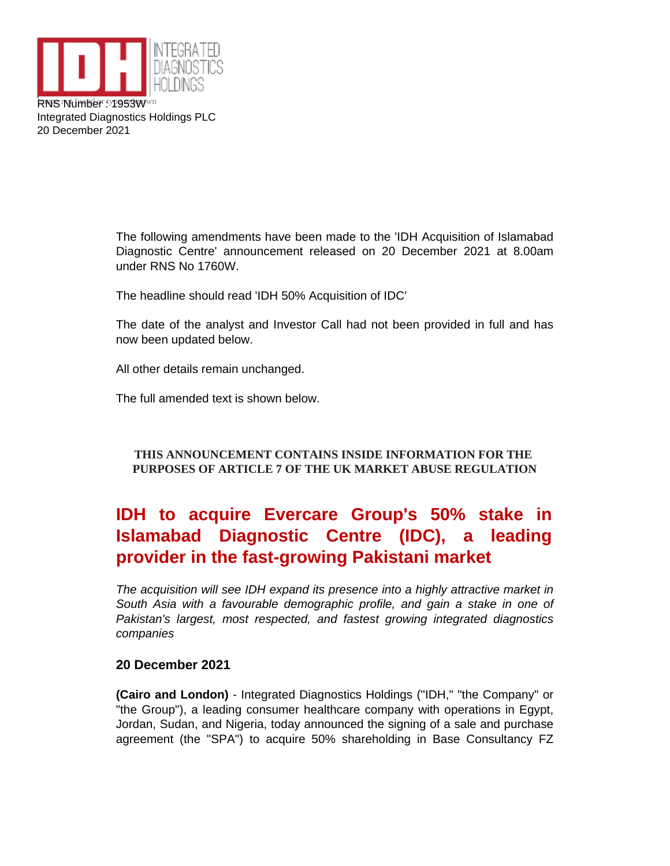

Integrated Diagnostics Holdings PLC 20 December 2021

> The following amendments have been made to the 'IDH Acquisition of Islamabad Diagnostic Centre' announcement released on 20 December 2021 at 8.00am under RNS No 1760W.

The headline should read 'IDH 50% Acquisition of IDC'

The date of the analyst and Investor Call had not been provided in full and has now been updated below.

All other details remain unchanged.

The full amended text is shown below.

# **THIS ANNOUNCEMENT CONTAINS INSIDE INFORMATION FOR THE PURPOSES OF ARTICLE 7 OF THE UK MARKET ABUSE REGULATION**

# **IDH to acquire Evercare Group's 50% stake in Islamabad Diagnostic Centre (IDC), a leading provider in the fast-growing Pakistani market**

The acquisition will see IDH expand its presence into a highly attractive market in South Asia with a favourable demographic profile, and gain a stake in one of Pakistan's largest, most respected, and fastest growing integrated diagnostics companies

## **20 December 2021**

**(Cairo and London)** - Integrated Diagnostics Holdings ("IDH," "the Company" or "the Group"), a leading consumer healthcare company with operations in Egypt, Jordan, Sudan, and Nigeria, today announced the signing of a sale and purchase agreement (the "SPA") to acquire 50% shareholding in Base Consultancy FZ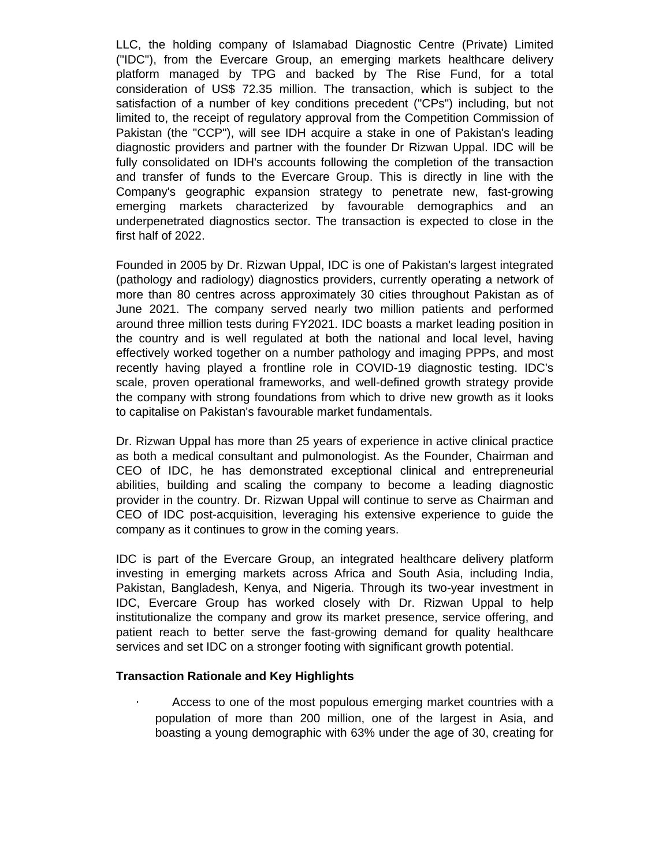LLC, the holding company of Islamabad Diagnostic Centre (Private) Limited ("IDC"), from the Evercare Group, an emerging markets healthcare delivery platform managed by TPG and backed by The Rise Fund, for a total consideration of US\$ 72.35 million. The transaction, which is subject to the satisfaction of a number of key conditions precedent ("CPs") including, but not limited to, the receipt of regulatory approval from the Competition Commission of Pakistan (the "CCP"), will see IDH acquire a stake in one of Pakistan's leading diagnostic providers and partner with the founder Dr Rizwan Uppal. IDC will be fully consolidated on IDH's accounts following the completion of the transaction and transfer of funds to the Evercare Group. This is directly in line with the Company's geographic expansion strategy to penetrate new, fast-growing emerging markets characterized by favourable demographics and an underpenetrated diagnostics sector. The transaction is expected to close in the first half of 2022.

Founded in 2005 by Dr. Rizwan Uppal, IDC is one of Pakistan's largest integrated (pathology and radiology) diagnostics providers, currently operating a network of more than 80 centres across approximately 30 cities throughout Pakistan as of June 2021. The company served nearly two million patients and performed around three million tests during FY2021. IDC boasts a market leading position in the country and is well regulated at both the national and local level, having effectively worked together on a number pathology and imaging PPPs, and most recently having played a frontline role in COVID-19 diagnostic testing. IDC's scale, proven operational frameworks, and well-defined growth strategy provide the company with strong foundations from which to drive new growth as it looks to capitalise on Pakistan's favourable market fundamentals.

Dr. Rizwan Uppal has more than 25 years of experience in active clinical practice as both a medical consultant and pulmonologist. As the Founder, Chairman and CEO of IDC, he has demonstrated exceptional clinical and entrepreneurial abilities, building and scaling the company to become a leading diagnostic provider in the country. Dr. Rizwan Uppal will continue to serve as Chairman and CEO of IDC post-acquisition, leveraging his extensive experience to guide the company as it continues to grow in the coming years.

IDC is part of the Evercare Group, an integrated healthcare delivery platform investing in emerging markets across Africa and South Asia, including India, Pakistan, Bangladesh, Kenya, and Nigeria. Through its two-year investment in IDC, Evercare Group has worked closely with Dr. Rizwan Uppal to help institutionalize the company and grow its market presence, service offering, and patient reach to better serve the fast-growing demand for quality healthcare services and set IDC on a stronger footing with significant growth potential.

### **Transaction Rationale and Key Highlights**

•€€€ Access to one of the most populous emerging market countries with a population of more than 200 million, one of the largest in Asia, and boasting a young demographic with 63% under the age of 30, creating for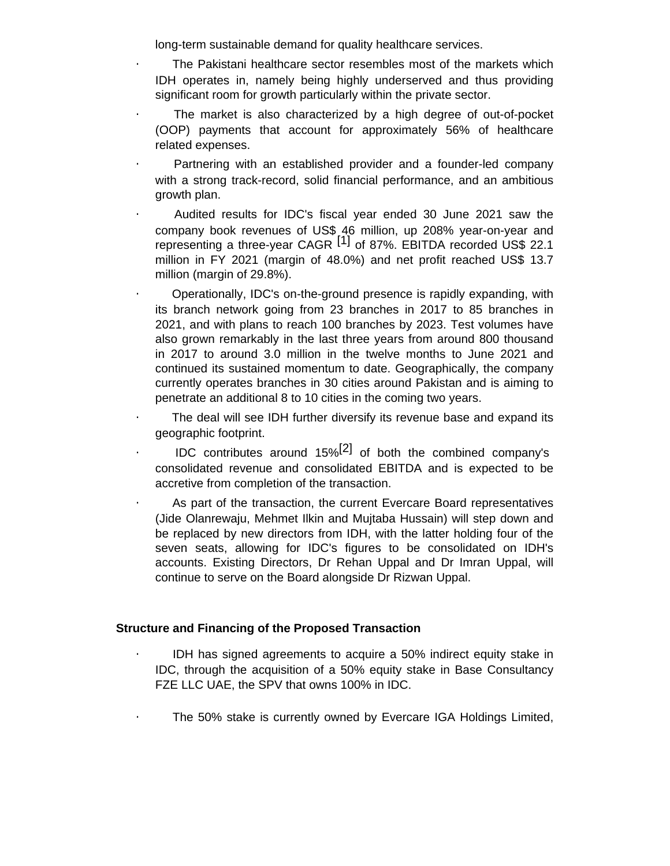long-term sustainable demand for quality healthcare services.

- •€€€ The Pakistani healthcare sector resembles most of the markets which IDH operates in, namely being highly underserved and thus providing significant room for growth particularly within the private sector.
- •€€€ The market is also characterized by a high degree of out-of-pocket (OOP) payments that account for approximately 56% of healthcare related expenses.
- •€€€ Partnering with an established provider and a founder-led company with a strong track-record, solid financial performance, and an ambitious growth plan.
- •€€€ Audited results for IDC's fiscal year ended 30 June 2021 saw the company book revenues of US\$ 46 million, up 208% year-on-year and representing a three-year CAGR <sup>[1]</sup> of 87%. EBITDA recorded US\$ 22.1 million in FY 2021 (margin of 48.0%) and net profit reached US\$ 13.7 million (margin of 29.8%).
- •€€€ Operationally, IDC's on-the-ground presence is rapidly expanding, with its branch network going from 23 branches in 2017 to 85 branches in 2021, and with plans to reach 100 branches by 2023. Test volumes have also grown remarkably in the last three years from around 800 thousand in 2017 to around 3.0 million in the twelve months to June 2021 and continued its sustained momentum to date. Geographically, the company currently operates branches in 30 cities around Pakistan and is aiming to penetrate an additional 8 to 10 cities in the coming two years.
- •€€€ The deal will see IDH further diversify its revenue base and expand its geographic footprint.
- E E IDC contributes around 15%<sup>[2]</sup> of both the combined company's consolidated revenue and consolidated EBITDA and is expected to be accretive from completion of the transaction.
- •€€€ As part of the transaction, the current Evercare Board representatives (Jide Olanrewaju, Mehmet Ilkin and Mujtaba Hussain) will step down and be replaced by new directors from IDH, with the latter holding four of the seven seats, allowing for IDC's figures to be consolidated on IDH's accounts. Existing Directors, Dr Rehan Uppal and Dr Imran Uppal, will continue to serve on the Board alongside Dr Rizwan Uppal.

## **Structure and Financing of the Proposed Transaction**

- •€€€ IDH has signed agreements to acquire a 50% indirect equity stake in IDC, through the acquisition of a 50% equity stake in Base Consultancy FZE LLC UAE, the SPV that owns 100% in IDC.
- •€€€ The 50% stake is currently owned by Evercare IGA Holdings Limited,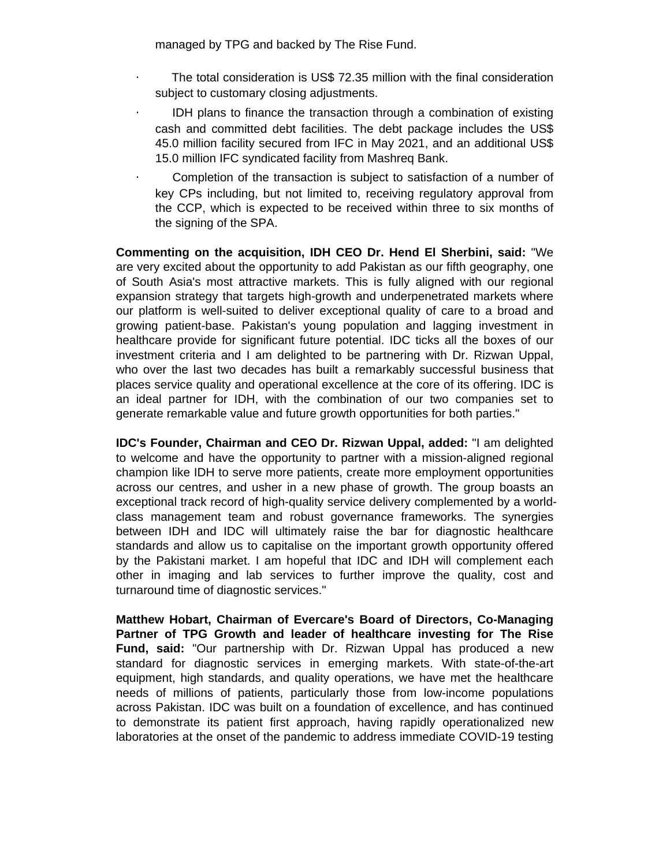managed by TPG and backed by The Rise Fund.

- •€€€ The total consideration is US\$ 72.35 million with the final consideration subject to customary closing adjustments.
- •€€€ IDH plans to finance the transaction through a combination of existing cash and committed debt facilities. The debt package includes the US\$ 45.0 million facility secured from IFC in May 2021, and an additional US\$ 15.0 million IFC syndicated facility from Mashreq Bank.
- •€€€ Completion of the transaction is subject to satisfaction of a number of key CPs including, but not limited to, receiving regulatory approval from the CCP, which is expected to be received within three to six months of the signing of the SPA.

**Commenting on the acquisition, IDH CEO Dr. Hend El Sherbini, said:** "We are very excited about the opportunity to add Pakistan as our fifth geography, one of South Asia's most attractive markets. This is fully aligned with our regional expansion strategy that targets high-growth and underpenetrated markets where our platform is well-suited to deliver exceptional quality of care to a broad and growing patient-base. Pakistan's young population and lagging investment in healthcare provide for significant future potential. IDC ticks all the boxes of our investment criteria and I am delighted to be partnering with Dr. Rizwan Uppal, who over the last two decades has built a remarkably successful business that places service quality and operational excellence at the core of its offering. IDC is an ideal partner for IDH, with the combination of our two companies set to generate remarkable value and future growth opportunities for both parties."

**IDC's Founder, Chairman and CEO Dr. Rizwan Uppal, added:** "I am delighted to welcome and have the opportunity to partner with a mission-aligned regional champion like IDH to serve more patients, create more employment opportunities across our centres, and usher in a new phase of growth. The group boasts an exceptional track record of high-quality service delivery complemented by a worldclass management team and robust governance frameworks. The synergies between IDH and IDC will ultimately raise the bar for diagnostic healthcare standards and allow us to capitalise on the important growth opportunity offered by the Pakistani market. I am hopeful that IDC and IDH will complement each other in imaging and lab services to further improve the quality, cost and turnaround time of diagnostic services."

**Matthew Hobart, Chairman of Evercare's Board of Directors, Co-Managing Partner of TPG Growth and leader of healthcare investing for The Rise Fund, said:** "Our partnership with Dr. Rizwan Uppal has produced a new standard for diagnostic services in emerging markets. With state-of-the-art equipment, high standards, and quality operations, we have met the healthcare needs of millions of patients, particularly those from low-income populations across Pakistan. IDC was built on a foundation of excellence, and has continued to demonstrate its patient first approach, having rapidly operationalized new laboratories at the onset of the pandemic to address immediate COVID-19 testing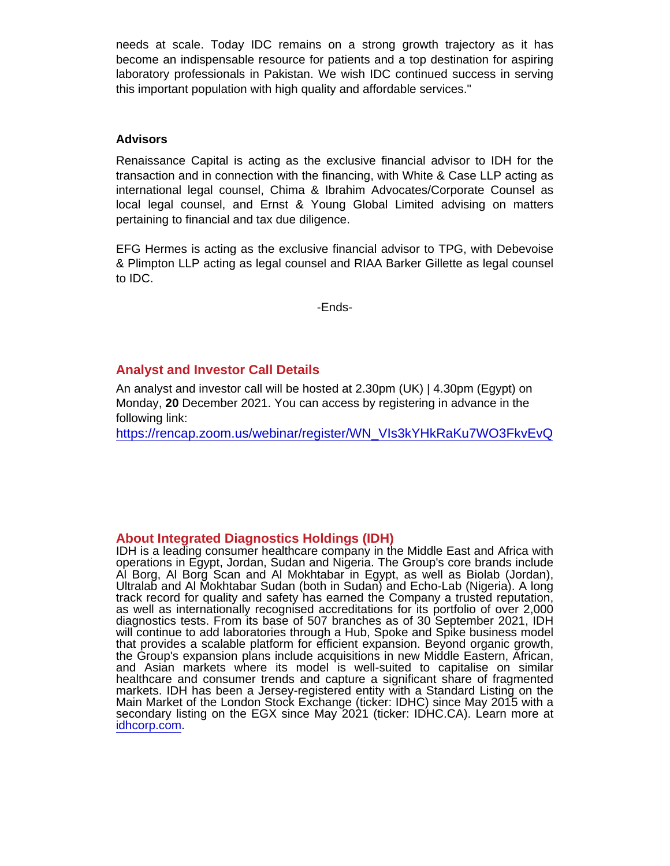needs at scale. Today IDC remains on a strong growth trajectory as it has become an indispensable resource for patients and a top destination for aspiring laboratory professionals in Pakistan. We wish IDC continued success in serving this important population with high quality and affordable services."

## **Advisors**

Renaissance Capital is acting as the exclusive financial advisor to IDH for the transaction and in connection with the financing, with White & Case LLP acting as international legal counsel, Chima & Ibrahim Advocates/Corporate Counsel as local legal counsel, and Ernst & Young Global Limited advising on matters pertaining to financial and tax due diligence.

EFG Hermes is acting as the exclusive financial advisor to TPG, with Debevoise & Plimpton LLP acting as legal counsel and RIAA Barker Gillette as legal counsel to IDC.

-Ends-

# Analyst and Investor Call Details

An analyst and investor call will be hosted at 2.30pm (UK) | 4.30pm (Egypt) on Monday, 20 December 2021. You can access by registering in advance in the following link:

[https://rencap.zoom.us/webinar/register/WN\\_VIs3kYHkRaKu7WO3FkvEvQ](https://rencap.zoom.us/webinar/register/WN_VIs3kYHkRaKu7WO3FkvEvQ)

## About Integrated Diagnostics Holdings (IDH)

IDH is a leading consumer healthcare company in the Middle East and Africa with operations in Egypt, Jordan, Sudan and Nigeria. The Group's core brands include Al Borg, Al Borg Scan and Al Mokhtabar in Egypt, as well as Biolab (Jordan), Ultralab and Al Mokhtabar Sudan (both in Sudan) and Echo-Lab (Nigeria). A long track record for quality and safety has earned the Company a trusted reputation, as well as internationally recognised accreditations for its portfolio of over 2,000 diagnostics tests. From its base of 507 branches as of 30 September 2021, IDH will continue to add laboratories through a Hub, Spoke and Spike business model that provides a scalable platform for efficient expansion. Beyond organic growth, the Group's expansion plans include acquisitions in new Middle Eastern, African, and Asian markets where its model is well-suited to capitalise on similar healthcare and consumer trends and capture a significant share of fragmented markets. IDH has been a Jersey-registered entity with a Standard Listing on the Main Market of the London Stock Exchange (ticker: IDHC) since May 2015 with a secondary listing on the EGX since May 2021 (ticker: IDHC.CA). Learn more at [idhcorp.com.](http://idhcorp.com)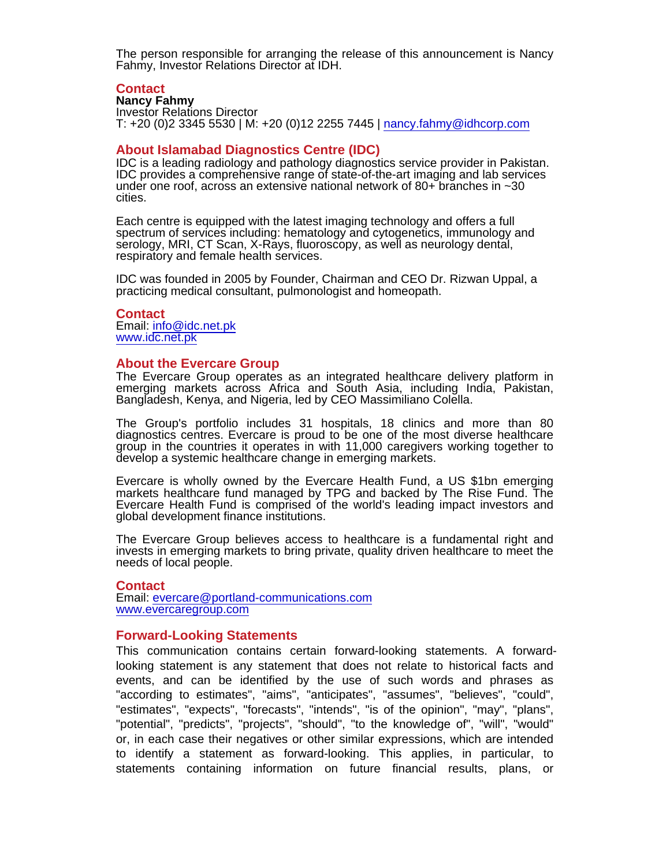The person responsible for arranging the release of this announcement is Nancy Fahmy, Investor Relations Director at IDH.

#### **Contact**

Nancy Fahmy Investor Relations Director T: +20 (0)2 3345 5530 | M: +20 (0)12 2255 7445 | [nancy.fahmy@idhcorp.com](mailto:nancy.fahmy@idhcorp.com)

#### About Islamabad Diagnostics Centre (IDC)

IDC is a leading radiology and pathology diagnostics service provider in Pakistan. IDC provides a comprehensive range of state-of-the-art imaging and lab services under one roof, across an extensive national network of 80+ branches in ~30 cities.

Each centre is equipped with the latest imaging technology and offers a full spectrum of services including: hematology and cytogenetics, immunology and serology, MRI, CT Scan, X-Rays, fluoroscopy, as well as neurology dental, respiratory and female health services.

IDC was founded in 2005 by Founder, Chairman and CEO Dr. Rizwan Uppal, a practicing medical consultant, pulmonologist and homeopath.

**Contact** Email: [info@idc.net.pk](mailto:info@idc.net.pk) [www.idc.net.pk](http://www.idc.net.pk)

#### About the Evercare Group

The Evercare Group operates as an integrated healthcare delivery platform in emerging markets across Africa and South Asia, including India, Pakistan, Bangladesh, Kenya, and Nigeria, led by CEO Massimiliano Colella.

The Group's portfolio includes 31 hospitals, 18 clinics and more than 80 diagnostics centres. Evercare is proud to be one of the most diverse healthcare group in the countries it operates in with 11,000 caregivers working together to develop a systemic healthcare change in emerging markets.

Evercare is wholly owned by the Evercare Health Fund, a US \$1bn emerging markets healthcare fund managed by TPG and backed by The Rise Fund. The Evercare Health Fund is comprised of the world's leading impact investors and global development finance institutions.

The Evercare Group believes access to healthcare is a fundamental right and invests in emerging markets to bring private, quality driven healthcare to meet the needs of local people.

#### **Contact**

Email: [evercare@portland-communications.com](mailto:evercare@portland-communications.com) [www.evercaregroup.com](https://evercaregroup.com/)

#### Forward-Looking Statements

This communication contains certain forward-looking statements. A forwardlooking statement is any statement that does not relate to historical facts and events, and can be identified by the use of such words and phrases as "according to estimates", "aims", "anticipates", "assumes", "believes", "could", "estimates", "expects", "forecasts", "intends", "is of the opinion", "may", "plans", "potential", "predicts", "projects", "should", "to the knowledge of", "will", "would" or, in each case their negatives or other similar expressions, which are intended to identify a statement as forward-looking. This applies, in particular, to statements containing information on future financial results, plans, or